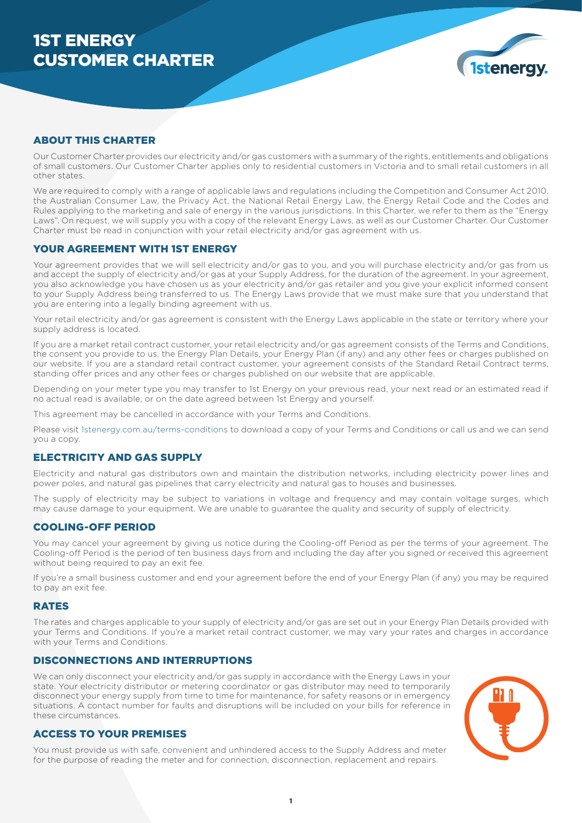# 1ST ENERGY CUSTOMER CHARTER



# ABOUT THIS CHARTER

Our Customer Charter provides our electricity and/or gas customers with a summary of the rights, entitlements and obligations of small customers. Our Customer Charter applies only to residential customers in Victoria and to small retail customers in all other states.

We are required to comply with a range of applicable laws and regulations including the Competition and Consumer Act 2010, the Australian Consumer Law, the Privacy Act, the National Retail Energy Law, the Energy Retail Code and the Codes and Rules applying to the marketing and sale of energy in the various jurisdictions. In this Charter, we refer to them as the "Energy Laws". On request, we will supply you with a copy of the relevant Energy Laws, as well as our Customer Charter. Our Customer Charter must be read in conjunction with your retail electricity and/or gas agreement with us.

# YOUR AGREEMENT WITH 1ST ENERGY

Your agreement provides that we will sell electricity and/or gas to you, and you will purchase electricity and/or gas from us and accept the supply of electricity and/or gas at your Supply Address, for the duration of the agreement. In your agreement. you also acknowledge you have chosen us as your electricity and/or gas retailer and you give your explicit informed consent to your Supply Address being transferred to us. The Energy Laws provide that we must make sure that you understand that you are entering into a legally binding agreement with us.

Your retail electricity and/or gas agreement is consistent with the Energy Laws applicable in the state or territory where your supply address is located.

If you are a market retail contract customer, your retail electricity and/or gas agreement consists of the Terms and Conditions, the consent you provide to us, the Energy Plan Details, your Energy Plan (if any) and any other fees or charges published on our website. If you are a standard retail contract customer, your agreement consists of the Standard Retail Contract terms, standing offer prices and any other fees or charges published on our website that are applicable.

Depending on your meter type you may transfer to 1st Energy on your previous read, your next read or an estimated read if no actual read is available, or on the date agreed between 1st Energy and yourself.

This agreement may be cancelled in accordance with your Terms and Conditions.

Please visit 1stenergy.com.au/terms-conditions to download a copy of your Terms and Conditions or call us and we can send you a copy.

# ELECTRICITY AND GAS SUPPLY

Electricity and natural gas distributors own and maintain the distribution networks, including electricity power lines and power poles, and natural gas pipelines that carry electricity and natural gas to houses and businesses.

The supply of electricity may be subject to variations in voltage and frequency and may contain voltage surges, which may cause damage to your equipment. We are unable to guarantee the quality and security of supply of electricity.

## COOLING-OFF PERIOD

You may cancel your agreement by giving us notice during the Cooling-off Period as per the terms of your agreement. The Cooling-off Period is the period of ten business days from and including the day after you signed or received this agreement without being required to pay an exit fee.

If you're a small business customer and end your agreement before the end of your Energy Plan (if any) you may be required to pay an exit fee.

## **RATES**

The rates and charges applicable to your supply of electricity and/or gas are set out in your Energy Plan Details provided with your Terms and Conditions. If you're a market retail contract customer, we may vary your rates and charges in accordance with your Terms and Conditions.

#### DISCONNECTIONS AND INTERRUPTIONS

We can only disconnect your electricity and/or gas supply in accordance with the Energy Laws in your state. Your electricity distributor or metering coordinator or gas distributor may need to temporarily disconnect your energy supply from time to time for maintenance, for safety reasons or in emergency situations. A contact number for faults and disruptions will be included on your bills for reference in these circumstances.

# ACCESS TO YOUR PREMISES

You must provide us with safe, convenient and unhindered access to the Supply Address and meter for the purpose of reading the meter and for connection, disconnection, replacement and repairs.

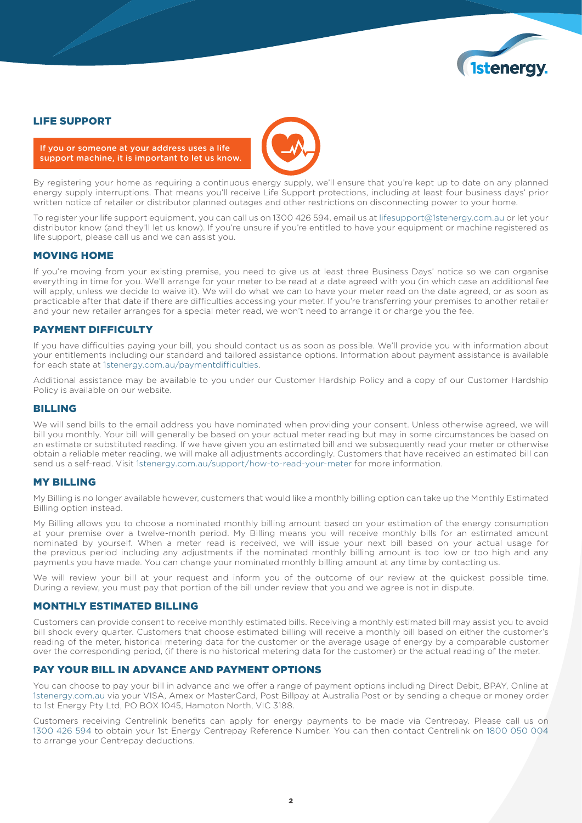

# LIFE SUPPORT

If you or someone at your address uses a life support machine, it is important to let us know.

By registering your home as requiring a continuous energy supply, we'll ensure that you're kept up to date on any planned energy supply interruptions. That means you'll receive Life Support protections, including at least four business days' prior written notice of retailer or distributor planned outages and other restrictions on disconnecting power to your home.

To register your life support equipment, you can call us on 1300 426 594, email us at lifesupport@1stenergy.com.au or let your distributor know (and they'll let us know). If you're unsure if you're entitled to have your equipment or machine registered as life support, please call us and we can assist you.

#### MOVING HOME

If you're moving from your existing premise, you need to give us at least three Business Days' notice so we can organise everything in time for you. We'll arrange for your meter to be read at a date agreed with you (in which case an additional fee will apply, unless we decide to waive it). We will do what we can to have your meter read on the date agreed, or as soon as practicable after that date if there are difficulties accessing your meter. If you're transferring your premises to another retailer and your new retailer arranges for a special meter read, we won't need to arrange it or charge you the fee.

#### PAYMENT DIFFICULTY

If you have difficulties paying your bill, you should contact us as soon as possible. We'll provide you with information about your entitlements including our standard and tailored assistance options. Information about payment assistance is available for each state at 1stenergy.com.au/paymentdifficulties.

Additional assistance may be available to you under our Customer Hardship Policy and a copy of our Customer Hardship Policy is available on our website.

#### BILLING

We will send bills to the email address you have nominated when providing your consent. Unless otherwise agreed, we will bill you monthly. Your bill will generally be based on your actual meter reading but may in some circumstances be based on an estimate or substituted reading. If we have given you an estimated bill and we subsequently read your meter or otherwise obtain a reliable meter reading, we will make all adjustments accordingly. Customers that have received an estimated bill can send us a self-read. Visit 1stenergy.com.au/support/how-to-read-your-meter for more information.

#### MY BILLING

My Billing is no longer available however, customers that would like a monthly billing option can take up the Monthly Estimated Billing option instead.

My Billing allows you to choose a nominated monthly billing amount based on your estimation of the energy consumption at your premise over a twelve-month period. My Billing means you will receive monthly bills for an estimated amount nominated by yourself. When a meter read is received, we will issue your next bill based on your actual usage for the previous period including any adjustments if the nominated monthly billing amount is too low or too high and any payments you have made. You can change your nominated monthly billing amount at any time by contacting us.

We will review your bill at your request and inform you of the outcome of our review at the quickest possible time. During a review, you must pay that portion of the bill under review that you and we agree is not in dispute.

#### MONTHLY ESTIMATED BILLING

Customers can provide consent to receive monthly estimated bills. Receiving a monthly estimated bill may assist you to avoid bill shock every quarter. Customers that choose estimated billing will receive a monthly bill based on either the customer's reading of the meter, historical metering data for the customer or the average usage of energy by a comparable customer over the corresponding period, (if there is no historical metering data for the customer) or the actual reading of the meter.

# PAY YOUR BILL IN ADVANCE AND PAYMENT OPTIONS

You can choose to pay your bill in advance and we offer a range of payment options including Direct Debit, BPAY, Online at 1stenergy.com.au via your VISA, Amex or MasterCard, Post Billpay at Australia Post or by sending a cheque or money order to 1st Energy Pty Ltd, PO BOX 1045, Hampton North, VIC 3188.

Customers receiving Centrelink benefits can apply for energy payments to be made via Centrepay. Please call us on 1300 426 594 to obtain your 1st Energy Centrepay Reference Number. You can then contact Centrelink on 1800 050 004 to arrange your Centrepay deductions.